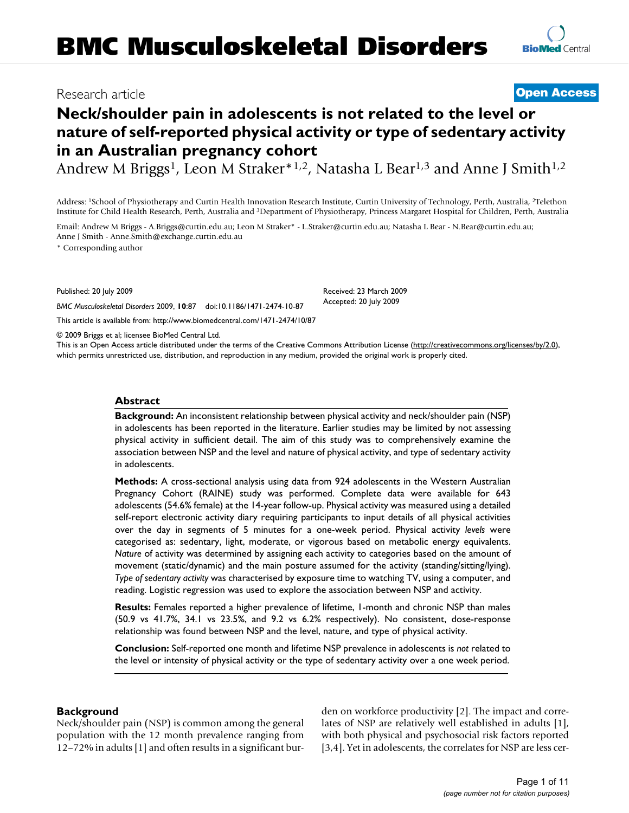## Research article **[Open Access](http://www.biomedcentral.com/info/about/charter/)**

# **Neck/shoulder pain in adolescents is not related to the level or nature of self-reported physical activity or type of sedentary activity in an Australian pregnancy cohort**

Andrew M Briggs<sup>1</sup>, Leon M Straker<sup>\*1,2</sup>, Natasha L Bear<sup>1,3</sup> and Anne J Smith<sup>1,2</sup>

Address: 1School of Physiotherapy and Curtin Health Innovation Research Institute, Curtin University of Technology, Perth, Australia, 2Telethon Institute for Child Health Research, Perth, Australia and 3Department of Physiotherapy, Princess Margaret Hospital for Children, Perth, Australia

Email: Andrew M Briggs - A.Briggs@curtin.edu.au; Leon M Straker\* - L.Straker@curtin.edu.au; Natasha L Bear - N.Bear@curtin.edu.au; Anne J Smith - Anne.Smith@exchange.curtin.edu.au

\* Corresponding author

Published: 20 July 2009

*BMC Musculoskeletal Disorders* 2009, **10**:87 doi:10.1186/1471-2474-10-87

[This article is available from: http://www.biomedcentral.com/1471-2474/10/87](http://www.biomedcentral.com/1471-2474/10/87)

© 2009 Briggs et al; licensee BioMed Central Ltd.

This is an Open Access article distributed under the terms of the Creative Commons Attribution License [\(http://creativecommons.org/licenses/by/2.0\)](http://creativecommons.org/licenses/by/2.0), which permits unrestricted use, distribution, and reproduction in any medium, provided the original work is properly cited.

#### **Abstract**

**Background:** An inconsistent relationship between physical activity and neck/shoulder pain (NSP) in adolescents has been reported in the literature. Earlier studies may be limited by not assessing physical activity in sufficient detail. The aim of this study was to comprehensively examine the association between NSP and the level and nature of physical activity, and type of sedentary activity in adolescents.

**Methods:** A cross-sectional analysis using data from 924 adolescents in the Western Australian Pregnancy Cohort (RAINE) study was performed. Complete data were available for 643 adolescents (54.6% female) at the 14-year follow-up. Physical activity was measured using a detailed self-report electronic activity diary requiring participants to input details of all physical activities over the day in segments of 5 minutes for a one-week period. Physical activity *levels* were categorised as: sedentary, light, moderate, or vigorous based on metabolic energy equivalents. *Nature* of activity was determined by assigning each activity to categories based on the amount of movement (static/dynamic) and the main posture assumed for the activity (standing/sitting/lying). *Type of sedentary activity* was characterised by exposure time to watching TV, using a computer, and reading. Logistic regression was used to explore the association between NSP and activity.

**Results:** Females reported a higher prevalence of lifetime, 1-month and chronic NSP than males (50.9 vs 41.7%, 34.1 vs 23.5%, and 9.2 vs 6.2% respectively). No consistent, dose-response relationship was found between NSP and the level, nature, and type of physical activity.

**Conclusion:** Self-reported one month and lifetime NSP prevalence in adolescents is *not* related to the level or intensity of physical activity or the type of sedentary activity over a one week period.

#### **Background**

Neck/shoulder pain (NSP) is common among the general population with the 12 month prevalence ranging from 12–72% in adults [1] and often results in a significant burden on workforce productivity [2]. The impact and correlates of NSP are relatively well established in adults [1], with both physical and psychosocial risk factors reported [3,4]. Yet in adolescents, the correlates for NSP are less cer-

Received: 23 March 2009 Accepted: 20 July 2009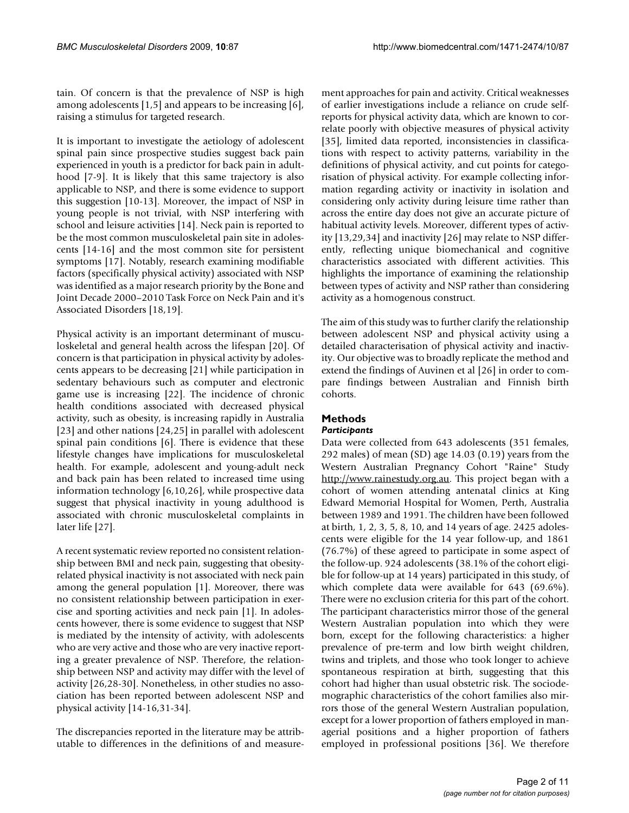tain. Of concern is that the prevalence of NSP is high among adolescents [1,5] and appears to be increasing [6], raising a stimulus for targeted research.

It is important to investigate the aetiology of adolescent spinal pain since prospective studies suggest back pain experienced in youth is a predictor for back pain in adulthood [7-9]. It is likely that this same trajectory is also applicable to NSP, and there is some evidence to support this suggestion [10-13]. Moreover, the impact of NSP in young people is not trivial, with NSP interfering with school and leisure activities [14]. Neck pain is reported to be the most common musculoskeletal pain site in adolescents [14-16] and the most common site for persistent symptoms [17]. Notably, research examining modifiable factors (specifically physical activity) associated with NSP was identified as a major research priority by the Bone and Joint Decade 2000–2010 Task Force on Neck Pain and it's Associated Disorders [18,19].

Physical activity is an important determinant of musculoskeletal and general health across the lifespan [20]. Of concern is that participation in physical activity by adolescents appears to be decreasing [21] while participation in sedentary behaviours such as computer and electronic game use is increasing [22]. The incidence of chronic health conditions associated with decreased physical activity, such as obesity, is increasing rapidly in Australia [23] and other nations [24,25] in parallel with adolescent spinal pain conditions [6]. There is evidence that these lifestyle changes have implications for musculoskeletal health. For example, adolescent and young-adult neck and back pain has been related to increased time using information technology [6,10,26], while prospective data suggest that physical inactivity in young adulthood is associated with chronic musculoskeletal complaints in later life [27].

A recent systematic review reported no consistent relationship between BMI and neck pain, suggesting that obesityrelated physical inactivity is not associated with neck pain among the general population [1]. Moreover, there was no consistent relationship between participation in exercise and sporting activities and neck pain [1]. In adolescents however, there is some evidence to suggest that NSP is mediated by the intensity of activity, with adolescents who are very active and those who are very inactive reporting a greater prevalence of NSP. Therefore, the relationship between NSP and activity may differ with the level of activity [26,28-30]. Nonetheless, in other studies no association has been reported between adolescent NSP and physical activity [14-16,31-34].

The discrepancies reported in the literature may be attributable to differences in the definitions of and measurement approaches for pain and activity. Critical weaknesses of earlier investigations include a reliance on crude selfreports for physical activity data, which are known to correlate poorly with objective measures of physical activity [35], limited data reported, inconsistencies in classifications with respect to activity patterns, variability in the definitions of physical activity, and cut points for categorisation of physical activity. For example collecting information regarding activity or inactivity in isolation and considering only activity during leisure time rather than across the entire day does not give an accurate picture of habitual activity levels. Moreover, different types of activity [13,29,34] and inactivity [26] may relate to NSP differently, reflecting unique biomechanical and cognitive characteristics associated with different activities. This highlights the importance of examining the relationship between types of activity and NSP rather than considering activity as a homogenous construct.

The aim of this study was to further clarify the relationship between adolescent NSP and physical activity using a detailed characterisation of physical activity and inactivity. Our objective was to broadly replicate the method and extend the findings of Auvinen et al [26] in order to compare findings between Australian and Finnish birth cohorts.

### **Methods**

#### *Participants*

Data were collected from 643 adolescents (351 females, 292 males) of mean (SD) age 14.03 (0.19) years from the Western Australian Pregnancy Cohort "Raine" Study <http://www.rainestudy.org.au>. This project began with a cohort of women attending antenatal clinics at King Edward Memorial Hospital for Women, Perth, Australia between 1989 and 1991. The children have been followed at birth, 1, 2, 3, 5, 8, 10, and 14 years of age. 2425 adolescents were eligible for the 14 year follow-up, and 1861 (76.7%) of these agreed to participate in some aspect of the follow-up. 924 adolescents (38.1% of the cohort eligible for follow-up at 14 years) participated in this study, of which complete data were available for 643 (69.6%). There were no exclusion criteria for this part of the cohort. The participant characteristics mirror those of the general Western Australian population into which they were born, except for the following characteristics: a higher prevalence of pre-term and low birth weight children, twins and triplets, and those who took longer to achieve spontaneous respiration at birth, suggesting that this cohort had higher than usual obstetric risk. The sociodemographic characteristics of the cohort families also mirrors those of the general Western Australian population, except for a lower proportion of fathers employed in managerial positions and a higher proportion of fathers employed in professional positions [36]. We therefore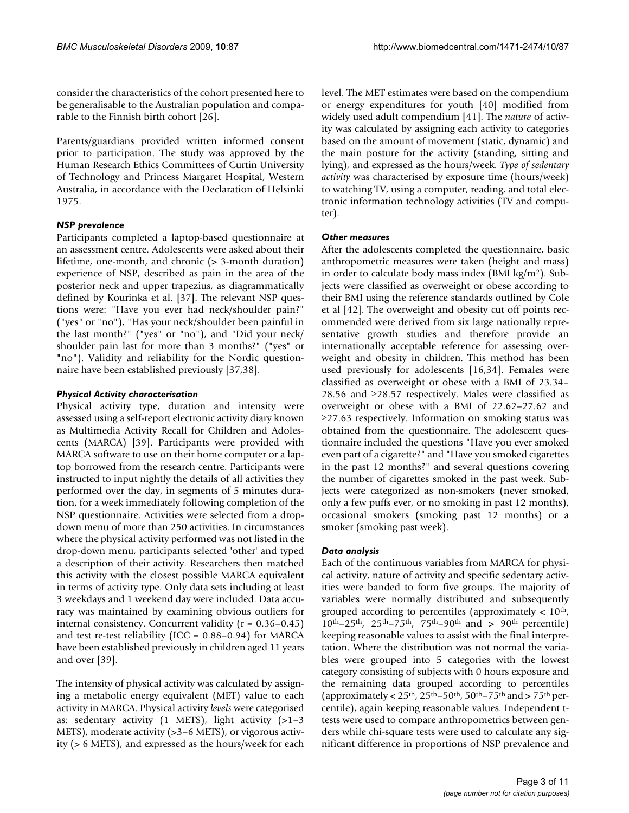consider the characteristics of the cohort presented here to be generalisable to the Australian population and comparable to the Finnish birth cohort [26].

Parents/guardians provided written informed consent prior to participation. The study was approved by the Human Research Ethics Committees of Curtin University of Technology and Princess Margaret Hospital, Western Australia, in accordance with the Declaration of Helsinki 1975.

#### *NSP prevalence*

Participants completed a laptop-based questionnaire at an assessment centre. Adolescents were asked about their lifetime, one-month, and chronic (> 3-month duration) experience of NSP, described as pain in the area of the posterior neck and upper trapezius, as diagrammatically defined by Kourinka et al. [37]. The relevant NSP questions were: "Have you ever had neck/shoulder pain?" ("yes" or "no"), "Has your neck/shoulder been painful in the last month?" ("yes" or "no"), and "Did your neck/ shoulder pain last for more than 3 months?" ("yes" or "no"). Validity and reliability for the Nordic questionnaire have been established previously [37,38].

#### *Physical Activity characterisation*

Physical activity type, duration and intensity were assessed using a self-report electronic activity diary known as Multimedia Activity Recall for Children and Adolescents (MARCA) [39]. Participants were provided with MARCA software to use on their home computer or a laptop borrowed from the research centre. Participants were instructed to input nightly the details of all activities they performed over the day, in segments of 5 minutes duration, for a week immediately following completion of the NSP questionnaire. Activities were selected from a dropdown menu of more than 250 activities. In circumstances where the physical activity performed was not listed in the drop-down menu, participants selected 'other' and typed a description of their activity. Researchers then matched this activity with the closest possible MARCA equivalent in terms of activity type. Only data sets including at least 3 weekdays and 1 weekend day were included. Data accuracy was maintained by examining obvious outliers for internal consistency. Concurrent validity (r = 0.36–0.45) and test re-test reliability (ICC = 0.88–0.94) for MARCA have been established previously in children aged 11 years and over [39].

The intensity of physical activity was calculated by assigning a metabolic energy equivalent (MET) value to each activity in MARCA. Physical activity *levels* were categorised as: sedentary activity  $(1 \text{ METS})$ , light activity  $(>1-3$ METS), moderate activity (>3–6 METS), or vigorous activity (> 6 METS), and expressed as the hours/week for each

level. The MET estimates were based on the compendium or energy expenditures for youth [40] modified from widely used adult compendium [41]. The *nature* of activity was calculated by assigning each activity to categories based on the amount of movement (static, dynamic) and the main posture for the activity (standing, sitting and lying), and expressed as the hours/week. *Type of sedentary activity* was characterised by exposure time (hours/week) to watching TV, using a computer, reading, and total electronic information technology activities (TV and computer).

#### *Other measures*

After the adolescents completed the questionnaire, basic anthropometric measures were taken (height and mass) in order to calculate body mass index (BMI kg/m2). Subjects were classified as overweight or obese according to their BMI using the reference standards outlined by Cole et al [42]. The overweight and obesity cut off points recommended were derived from six large nationally representative growth studies and therefore provide an internationally acceptable reference for assessing overweight and obesity in children. This method has been used previously for adolescents [16,34]. Females were classified as overweight or obese with a BMI of 23.34– 28.56 and ≥28.57 respectively. Males were classified as overweight or obese with a BMI of 22.62–27.62 and ≥27.63 respectively. Information on smoking status was obtained from the questionnaire. The adolescent questionnaire included the questions "Have you ever smoked even part of a cigarette?" and "Have you smoked cigarettes in the past 12 months?" and several questions covering the number of cigarettes smoked in the past week. Subjects were categorized as non-smokers (never smoked, only a few puffs ever, or no smoking in past 12 months), occasional smokers (smoking past 12 months) or a smoker (smoking past week).

#### *Data analysis*

Each of the continuous variables from MARCA for physical activity, nature of activity and specific sedentary activities were banded to form five groups. The majority of variables were normally distributed and subsequently grouped according to percentiles (approximately  $< 10<sup>th</sup>$ ,  $10^{th} - 25^{th}$ ,  $25^{th} - 75^{th}$ ,  $75^{th} - 90^{th}$  and  $> 90^{th}$  percentile) keeping reasonable values to assist with the final interpretation. Where the distribution was not normal the variables were grouped into 5 categories with the lowest category consisting of subjects with 0 hours exposure and the remaining data grouped according to percentiles (approximately <  $25<sup>th</sup>$ ,  $25<sup>th</sup>$  –  $50<sup>th</sup>$ ,  $50<sup>th</sup>$  –  $75<sup>th</sup>$  and  $> 75<sup>th</sup>$  percentile), again keeping reasonable values. Independent ttests were used to compare anthropometrics between genders while chi-square tests were used to calculate any significant difference in proportions of NSP prevalence and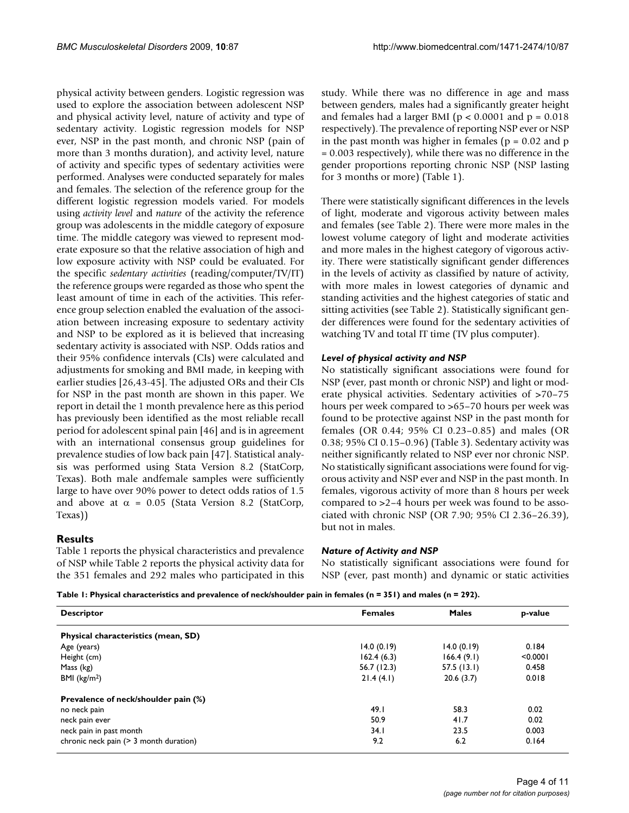physical activity between genders. Logistic regression was used to explore the association between adolescent NSP and physical activity level, nature of activity and type of sedentary activity. Logistic regression models for NSP ever, NSP in the past month, and chronic NSP (pain of more than 3 months duration), and activity level, nature of activity and specific types of sedentary activities were performed. Analyses were conducted separately for males and females. The selection of the reference group for the different logistic regression models varied. For models using *activity level* and *nature* of the activity the reference group was adolescents in the middle category of exposure time. The middle category was viewed to represent moderate exposure so that the relative association of high and low exposure activity with NSP could be evaluated. For the specific *sedentary activities* (reading/computer/TV/IT) the reference groups were regarded as those who spent the least amount of time in each of the activities. This reference group selection enabled the evaluation of the association between increasing exposure to sedentary activity and NSP to be explored as it is believed that increasing sedentary activity is associated with NSP. Odds ratios and their 95% confidence intervals (CIs) were calculated and adjustments for smoking and BMI made, in keeping with earlier studies [26,43-45]. The adjusted ORs and their CIs for NSP in the past month are shown in this paper. We report in detail the 1 month prevalence here as this period has previously been identified as the most reliable recall period for adolescent spinal pain [46] and is in agreement with an international consensus group guidelines for prevalence studies of low back pain [47]. Statistical analysis was performed using Stata Version 8.2 (StatCorp, Texas). Both male andfemale samples were sufficiently large to have over 90% power to detect odds ratios of 1.5 and above at  $\alpha = 0.05$  (Stata Version 8.2 (StatCorp, Texas))

#### **Results**

Table 1 reports the physical characteristics and prevalence of NSP while Table 2 reports the physical activity data for the 351 females and 292 males who participated in this study. While there was no difference in age and mass between genders, males had a significantly greater height and females had a larger BMI ( $p < 0.0001$  and  $p = 0.018$ ) respectively). The prevalence of reporting NSP ever or NSP in the past month was higher in females ( $p = 0.02$  and  $p$ ) = 0.003 respectively), while there was no difference in the gender proportions reporting chronic NSP (NSP lasting for 3 months or more) (Table 1).

There were statistically significant differences in the levels of light, moderate and vigorous activity between males and females (see Table 2). There were more males in the lowest volume category of light and moderate activities and more males in the highest category of vigorous activity. There were statistically significant gender differences in the levels of activity as classified by nature of activity, with more males in lowest categories of dynamic and standing activities and the highest categories of static and sitting activities (see Table 2). Statistically significant gender differences were found for the sedentary activities of watching TV and total IT time (TV plus computer).

#### *Level of physical activity and NSP*

No statistically significant associations were found for NSP (ever, past month or chronic NSP) and light or moderate physical activities. Sedentary activities of >70–75 hours per week compared to >65-70 hours per week was found to be protective against NSP in the past month for females (OR 0.44; 95% CI 0.23–0.85) and males (OR 0.38; 95% CI 0.15–0.96) (Table 3). Sedentary activity was neither significantly related to NSP ever nor chronic NSP. No statistically significant associations were found for vigorous activity and NSP ever and NSP in the past month. In females, vigorous activity of more than 8 hours per week compared to >2–4 hours per week was found to be associated with chronic NSP (OR 7.90; 95% CI 2.36–26.39), but not in males.

#### *Nature of Activity and NSP*

No statistically significant associations were found for NSP (ever, past month) and dynamic or static activities

**Table 1: Physical characteristics and prevalence of neck/shoulder pain in females (n = 351) and males (n = 292).**

| <b>Descriptor</b>                      | <b>Females</b> | <b>Males</b> | p-value  |
|----------------------------------------|----------------|--------------|----------|
| Physical characteristics (mean, SD)    |                |              |          |
| Age (years)                            | 14.0(0.19)     | 14.0(0.19)   | 0.184    |
| Height (cm)                            | 162.4(6.3)     | 166.4(9.1)   | < 0.0001 |
| Mass (kg)                              | 56.7(12.3)     | 57.5(13.1)   | 0.458    |
| BMI ( $kg/m2$ )                        | 21.4(4.1)      | 20.6(3.7)    | 0.018    |
| Prevalence of neck/shoulder pain (%)   |                |              |          |
| no neck pain                           | 49.1           | 58.3         | 0.02     |
| neck pain ever                         | 50.9           | 41.7         | 0.02     |
| neck pain in past month                | 34.1           | 23.5         | 0.003    |
| chronic neck pain (> 3 month duration) | 9.2            | 6.2          | 0.164    |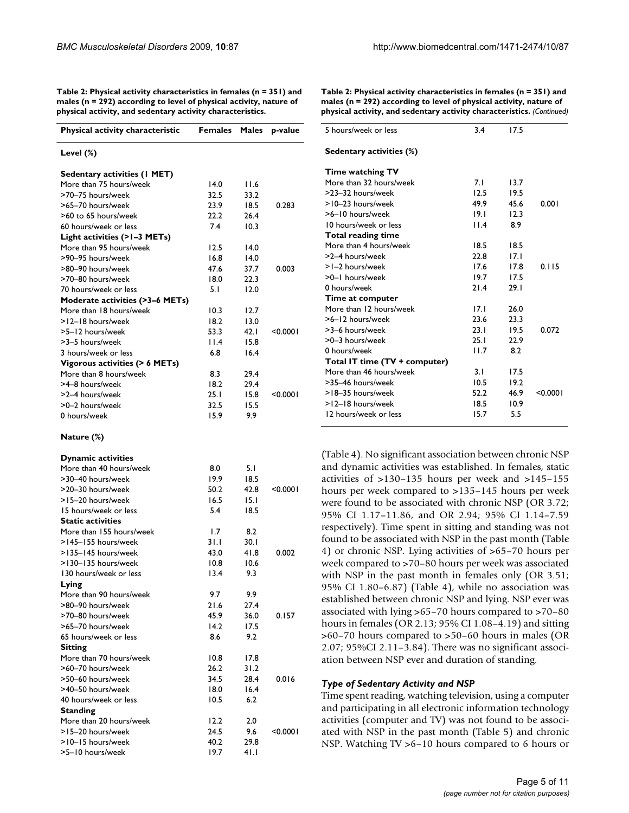| .                                                      |              |            |          |
|--------------------------------------------------------|--------------|------------|----------|
| Physical activity characteristic Females Males p-value |              |            |          |
|                                                        |              |            |          |
| Level (%)                                              |              |            |          |
| <b>Sedentary activities (I MET)</b>                    |              |            |          |
| More than 75 hours/week                                | 14.0         | 11.6       |          |
| >70-75 hours/week                                      | 32.5         | 33.2       |          |
| >65-70 hours/week                                      | 23.9         | 18.5       | 0.283    |
| >60 to 65 hours/week                                   | 22.2         | 26.4       |          |
| 60 hours/week or less                                  | 7.4          | 10.3       |          |
| Light activities (>1-3 METs)                           |              |            |          |
| More than 95 hours/week                                | 12.5         | 14.0       |          |
| >90-95 hours/week                                      | 16.8         | 14.0       |          |
| >80-90 hours/week                                      | 47.6         | 37.7       | 0.003    |
| >70-80 hours/week                                      | 18.0         | 22.3       |          |
| 70 hours/week or less                                  | 5.1          | 12.0       |          |
| Moderate activities (>3-6 METs)                        |              |            |          |
| More than 18 hours/week                                | 10.3         | 12.7       |          |
| >12-18 hours/week                                      | 18.2         | 13.0       |          |
| >5-12 hours/week                                       | 53.3         | 42.1       | < 0.0001 |
| >3-5 hours/week                                        | 11.4         | 15.8       |          |
| 3 hours/week or less                                   | 6.8          | 16.4       |          |
| Vigorous activities (> 6 METs)                         |              |            |          |
| More than 8 hours/week                                 | 8.3          | 29.4       |          |
| >4-8 hours/week                                        | 18.2         | 29.4       |          |
| >2-4 hours/week                                        | 25. I        | 15.8       | < 0.0001 |
| >0-2 hours/week                                        | 32.5         | 15.5       |          |
| 0 hours/week                                           | 15.9         | 9.9        |          |
| Nature (%)                                             |              |            |          |
| <b>Dynamic activities</b>                              |              |            |          |
| More than 40 hours/week                                | 8.0          | 5.1        |          |
| >30-40 hours/week                                      | 19.9         | 18.5       |          |
| >20-30 hours/week                                      | 50.2         | 42.8       | < 0.0001 |
| >15-20 hours/week                                      | 16.5         | 15.1       |          |
| 15 hours/week or less                                  | 5.4          | 18.5       |          |
| <b>Static activities</b>                               |              |            |          |
| More than 155 hours/week                               | 1.7          | 8.2        |          |
| >145-155 hours/week                                    | 3 I . I      | 30. I      |          |
| >135-145 hours/week                                    | 43.0         | 41.8       | 0.002    |
| >130-135 hours/week                                    | 10.8         | 10.6       |          |
| 130 hours/week or less                                 | 13.4         | 9.3        |          |
| Lying                                                  |              |            |          |
| More than 90 hours/week                                | 9.7          | 9.9        |          |
| >80-90 hours/week                                      | 21.6         | 27.4       |          |
| >70-80 hours/week                                      | 45.9         | 36.0       | 0.157    |
| >65-70 hours/week                                      | 14.2         | 17.5       |          |
| 65 hours/week or less                                  | 8.6          | 9.2        |          |
| <b>Sitting</b>                                         |              |            |          |
| More than 70 hours/week                                | 10.8         | 17.8       |          |
| >60-70 hours/week                                      | 26.2         | 31.2       |          |
| >50-60 hours/week                                      | 34.5         | 28.4       | 0.016    |
| >40-50 hours/week                                      | 18.0         | 16.4       |          |
| 40 hours/week or less                                  | 10.5         | 6.2        |          |
| <b>Standing</b>                                        |              |            |          |
| More than 20 hours/week<br>>15-20 hours/week           | 12.2<br>24.5 | 2.0<br>9.6 | < 0.0001 |
|                                                        |              |            |          |

>10–15 hours/week 40.2 29.8 >5–10 hours/week 19.7 41.1

**Table 2: Physical activity characteristics in females (n = 351) and males (n = 292) according to level of physical activity, nature of physical activity, and sedentary activity characteristics.**

**Table 2: Physical activity characteristics in females (n = 351) and males (n = 292) according to level of physical activity, nature of physical activity, and sedentary activity characteristics.** *(Continued)*

| 7.I  | 13.7 |          |
|------|------|----------|
| 12.5 | 19.5 |          |
| 49.9 | 45.6 | 0.001    |
| 19.1 | 12.3 |          |
| 11.4 | 8.9  |          |
|      |      |          |
| 18.5 | 18.5 |          |
| 22.8 | 17.I |          |
| 17.6 | 17.8 | 0.115    |
| 19.7 | 17.5 |          |
| 21.4 | 29.1 |          |
|      |      |          |
| 17.1 | 26.0 |          |
| 23.6 | 23.3 |          |
| 23.1 | 19.5 | 0.072    |
| 25.1 | 22.9 |          |
| 11.7 | 8.2  |          |
|      |      |          |
| 3.1  | 17.5 |          |
| 10.5 | 19.2 |          |
| 52.2 | 46.9 | < 0.0001 |
| 18.5 | 10.9 |          |
| 15.7 | 5.5  |          |
|      | 3.4  | 17.5     |

(Table 4). No significant association between chronic NSP and dynamic activities was established. In females, static activities of >130–135 hours per week and >145–155 hours per week compared to >135–145 hours per week were found to be associated with chronic NSP (OR 3.72; 95% CI 1.17–11.86, and OR 2.94; 95% CI 1.14–7.59 respectively). Time spent in sitting and standing was not found to be associated with NSP in the past month (Table 4) or chronic NSP. Lying activities of >65–70 hours per week compared to >70–80 hours per week was associated with NSP in the past month in females only (OR 3.51; 95% CI 1.80–6.87) (Table 4), while no association was established between chronic NSP and lying. NSP ever was associated with lying >65–70 hours compared to >70–80 hours in females (OR 2.13; 95% CI 1.08–4.19) and sitting >60–70 hours compared to >50–60 hours in males (OR 2.07; 95%CI 2.11–3.84). There was no significant association between NSP ever and duration of standing.

#### *Type of Sedentary Activity and NSP*

Time spent reading, watching television, using a computer and participating in all electronic information technology activities (computer and TV) was not found to be associated with NSP in the past month (Table 5) and chronic NSP. Watching TV >6–10 hours compared to 6 hours or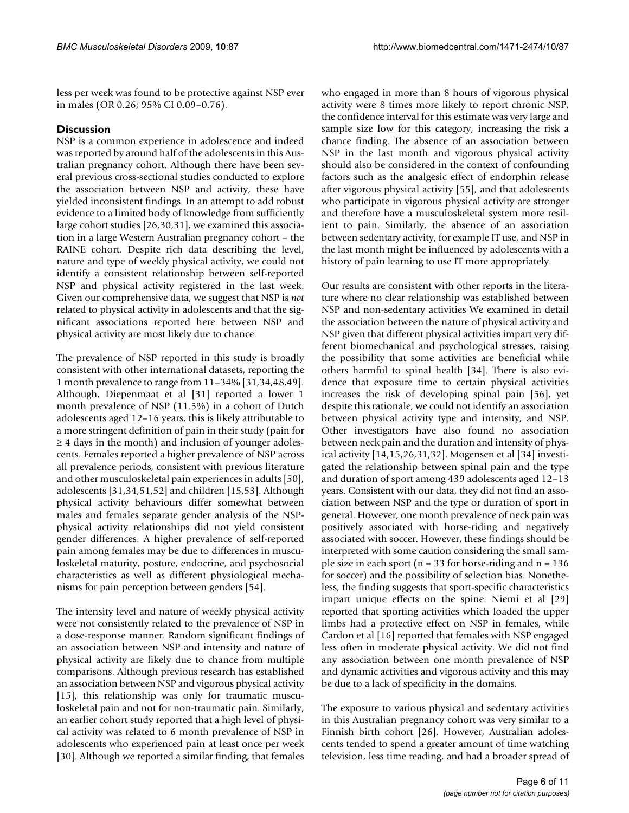less per week was found to be protective against NSP ever in males (OR 0.26; 95% CI 0.09–0.76).

### **Discussion**

NSP is a common experience in adolescence and indeed was reported by around half of the adolescents in this Australian pregnancy cohort. Although there have been several previous cross-sectional studies conducted to explore the association between NSP and activity, these have yielded inconsistent findings. In an attempt to add robust evidence to a limited body of knowledge from sufficiently large cohort studies [26,30,31], we examined this association in a large Western Australian pregnancy cohort – the RAINE cohort. Despite rich data describing the level, nature and type of weekly physical activity, we could not identify a consistent relationship between self-reported NSP and physical activity registered in the last week. Given our comprehensive data, we suggest that NSP is *not* related to physical activity in adolescents and that the significant associations reported here between NSP and physical activity are most likely due to chance.

The prevalence of NSP reported in this study is broadly consistent with other international datasets, reporting the 1 month prevalence to range from 11–34% [31,34,48,49]. Although, Diepenmaat et al [31] reported a lower 1 month prevalence of NSP (11.5%) in a cohort of Dutch adolescents aged 12–16 years, this is likely attributable to a more stringent definition of pain in their study (pain for  $\geq$  4 days in the month) and inclusion of younger adolescents. Females reported a higher prevalence of NSP across all prevalence periods, consistent with previous literature and other musculoskeletal pain experiences in adults [50], adolescents [31,34,51,52] and children [15,53]. Although physical activity behaviours differ somewhat between males and females separate gender analysis of the NSPphysical activity relationships did not yield consistent gender differences. A higher prevalence of self-reported pain among females may be due to differences in musculoskeletal maturity, posture, endocrine, and psychosocial characteristics as well as different physiological mechanisms for pain perception between genders [54].

The intensity level and nature of weekly physical activity were not consistently related to the prevalence of NSP in a dose-response manner. Random significant findings of an association between NSP and intensity and nature of physical activity are likely due to chance from multiple comparisons. Although previous research has established an association between NSP and vigorous physical activity [15], this relationship was only for traumatic musculoskeletal pain and not for non-traumatic pain. Similarly, an earlier cohort study reported that a high level of physical activity was related to 6 month prevalence of NSP in adolescents who experienced pain at least once per week [30]. Although we reported a similar finding, that females

who engaged in more than 8 hours of vigorous physical activity were 8 times more likely to report chronic NSP, the confidence interval for this estimate was very large and sample size low for this category, increasing the risk a chance finding. The absence of an association between NSP in the last month and vigorous physical activity should also be considered in the context of confounding factors such as the analgesic effect of endorphin release after vigorous physical activity [55], and that adolescents who participate in vigorous physical activity are stronger and therefore have a musculoskeletal system more resilient to pain. Similarly, the absence of an association between sedentary activity, for example IT use, and NSP in the last month might be influenced by adolescents with a history of pain learning to use IT more appropriately.

Our results are consistent with other reports in the literature where no clear relationship was established between NSP and non-sedentary activities We examined in detail the association between the nature of physical activity and NSP given that different physical activities impart very different biomechanical and psychological stresses, raising the possibility that some activities are beneficial while others harmful to spinal health [34]. There is also evidence that exposure time to certain physical activities increases the risk of developing spinal pain [56], yet despite this rationale, we could not identify an association between physical activity type and intensity, and NSP. Other investigators have also found no association between neck pain and the duration and intensity of physical activity [14,15,26,31,32]. Mogensen et al [34] investigated the relationship between spinal pain and the type and duration of sport among 439 adolescents aged 12–13 years. Consistent with our data, they did not find an association between NSP and the type or duration of sport in general. However, one month prevalence of neck pain was positively associated with horse-riding and negatively associated with soccer. However, these findings should be interpreted with some caution considering the small sample size in each sport ( $n = 33$  for horse-riding and  $n = 136$ for soccer) and the possibility of selection bias. Nonetheless, the finding suggests that sport-specific characteristics impart unique effects on the spine. Niemi et al [29] reported that sporting activities which loaded the upper limbs had a protective effect on NSP in females, while Cardon et al [16] reported that females with NSP engaged less often in moderate physical activity. We did not find any association between one month prevalence of NSP and dynamic activities and vigorous activity and this may be due to a lack of specificity in the domains.

The exposure to various physical and sedentary activities in this Australian pregnancy cohort was very similar to a Finnish birth cohort [26]. However, Australian adolescents tended to spend a greater amount of time watching television, less time reading, and had a broader spread of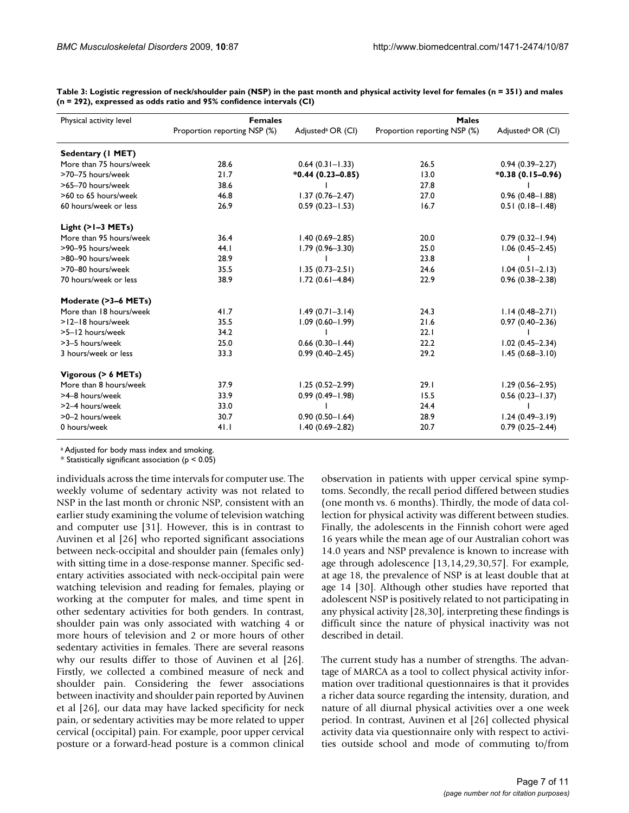| Physical activity level | <b>Females</b>               |                               | <b>Males</b>                 |                               |
|-------------------------|------------------------------|-------------------------------|------------------------------|-------------------------------|
|                         | Proportion reporting NSP (%) | Adjusted <sup>a</sup> OR (Cl) | Proportion reporting NSP (%) | Adjusted <sup>a</sup> OR (Cl) |
| Sedentary (1 MET)       |                              |                               |                              |                               |
| More than 75 hours/week | 28.6                         | $0.64(0.31 - 1.33)$           | 26.5                         | $0.94(0.39 - 2.27)$           |
| >70-75 hours/week       | 21.7                         | $*0.44(0.23 - 0.85)$          | 13.0                         | $*0.38(0.15-0.96)$            |
| >65-70 hours/week       | 38.6                         |                               | 27.8                         |                               |
| >60 to 65 hours/week    | 46.8                         | $1.37(0.76 - 2.47)$           | 27.0                         | $0.96(0.48 - 1.88)$           |
| 60 hours/week or less   | 26.9                         | $0.59(0.23 - 1.53)$           | 16.7                         | $0.51(0.18 - 1.48)$           |
| Light $(>1-3$ METs)     |                              |                               |                              |                               |
| More than 95 hours/week | 36.4                         | $1.40(0.69 - 2.85)$           | 20.0                         | $0.79(0.32 - 1.94)$           |
| >90-95 hours/week       | 44.1                         | $1.79(0.96 - 3.30)$           | 25.0                         | $1.06(0.45 - 2.45)$           |
| >80-90 hours/week       | 28.9                         |                               | 23.8                         |                               |
| >70-80 hours/week       | 35.5                         | $1.35(0.73 - 2.51)$           | 24.6                         | $1.04(0.51 - 2.13)$           |
| 70 hours/week or less   | 38.9                         | $1.72(0.61 - 4.84)$           | 22.9                         | $0.96(0.38 - 2.38)$           |
| Moderate (>3-6 METs)    |                              |                               |                              |                               |
| More than 18 hours/week | 41.7                         | $1.49(0.71 - 3.14)$           | 24.3                         | $1.14(0.48 - 2.71)$           |
| >12-18 hours/week       | 35.5                         | $1.09(0.60 - 1.99)$           | 21.6                         | $0.97(0.40 - 2.36)$           |
| >5-12 hours/week        | 34.2                         |                               | 22.1                         |                               |
| >3-5 hours/week         | 25.0                         | $0.66$ (0.30-1.44)            | 22.2                         | $1.02(0.45 - 2.34)$           |
| 3 hours/week or less    | 33.3                         | $0.99(0.40 - 2.45)$           | 29.2                         | $1.45(0.68 - 3.10)$           |
| Vigorous (> 6 METs)     |                              |                               |                              |                               |
| More than 8 hours/week  | 37.9                         | $1.25(0.52 - 2.99)$           | 29.1                         | $1.29(0.56 - 2.95)$           |
| >4-8 hours/week         | 33.9                         | $0.99(0.49 - 1.98)$           | 15.5                         | $0.56(0.23 - 1.37)$           |
| >2-4 hours/week         | 33.0                         |                               | 24.4                         |                               |
| >0-2 hours/week         | 30.7                         | $0.90(0.50 - 1.64)$           | 28.9                         | $1.24(0.49 - 3.19)$           |
| 0 hours/week            | 41.1                         | $1.40(0.69 - 2.82)$           | 20.7                         | $0.79(0.25 - 2.44)$           |

**Table 3: Logistic regression of neck/shoulder pain (NSP) in the past month and physical activity level for females (n = 351) and males (n = 292), expressed as odds ratio and 95% confidence intervals (CI)**

a Adjusted for body mass index and smoking.

 $*$  Statistically significant association ( $p < 0.05$ )

individuals across the time intervals for computer use. The weekly volume of sedentary activity was not related to NSP in the last month or chronic NSP, consistent with an earlier study examining the volume of television watching and computer use [31]. However, this is in contrast to Auvinen et al [26] who reported significant associations between neck-occipital and shoulder pain (females only) with sitting time in a dose-response manner. Specific sedentary activities associated with neck-occipital pain were watching television and reading for females, playing or working at the computer for males, and time spent in other sedentary activities for both genders. In contrast, shoulder pain was only associated with watching 4 or more hours of television and 2 or more hours of other sedentary activities in females. There are several reasons why our results differ to those of Auvinen et al [26]. Firstly, we collected a combined measure of neck and shoulder pain. Considering the fewer associations between inactivity and shoulder pain reported by Auvinen et al [26], our data may have lacked specificity for neck pain, or sedentary activities may be more related to upper cervical (occipital) pain. For example, poor upper cervical posture or a forward-head posture is a common clinical

observation in patients with upper cervical spine symptoms. Secondly, the recall period differed between studies (one month vs. 6 months). Thirdly, the mode of data collection for physical activity was different between studies. Finally, the adolescents in the Finnish cohort were aged 16 years while the mean age of our Australian cohort was 14.0 years and NSP prevalence is known to increase with age through adolescence [13,14,29,30,57]. For example, at age 18, the prevalence of NSP is at least double that at age 14 [30]. Although other studies have reported that adolescent NSP is positively related to not participating in any physical activity [28,30], interpreting these findings is difficult since the nature of physical inactivity was not described in detail.

The current study has a number of strengths. The advantage of MARCA as a tool to collect physical activity information over traditional questionnaires is that it provides a richer data source regarding the intensity, duration, and nature of all diurnal physical activities over a one week period. In contrast, Auvinen et al [26] collected physical activity data via questionnaire only with respect to activities outside school and mode of commuting to/from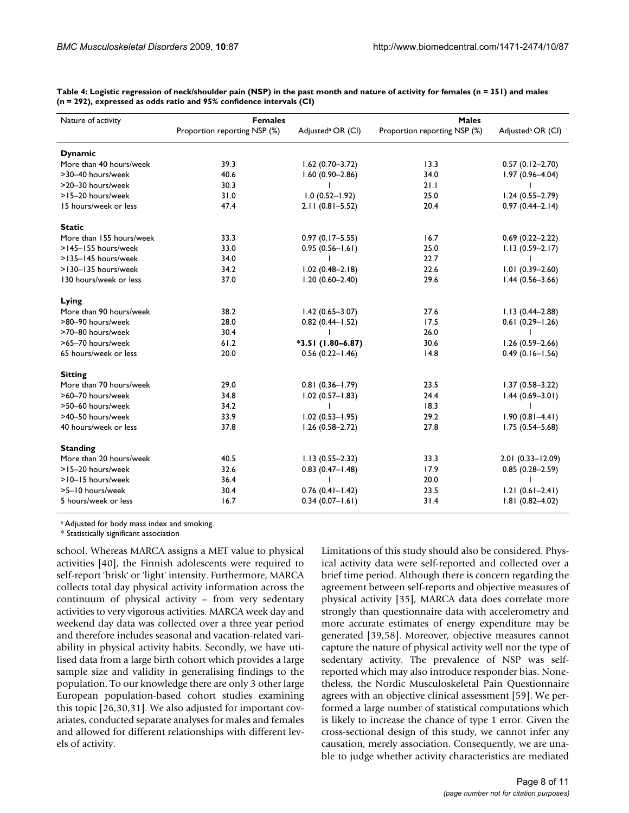| Nature of activity       | <b>Females</b>               |                               | <b>Males</b>                 |                               |
|--------------------------|------------------------------|-------------------------------|------------------------------|-------------------------------|
|                          | Proportion reporting NSP (%) | Adjusted <sup>a</sup> OR (Cl) | Proportion reporting NSP (%) | Adjusted <sup>a</sup> OR (CI) |
| <b>Dynamic</b>           |                              |                               |                              |                               |
| More than 40 hours/week  | 39.3                         | $1.62(0.70 - 3.72)$           | 13.3                         | $0.57(0.12 - 2.70)$           |
| >30-40 hours/week        | 40.6                         | $1.60(0.90 - 2.86)$           | 34.0                         | $1.97(0.96 - 4.04)$           |
| >20-30 hours/week        | 30.3                         | Ι.                            | 21.1                         | I.                            |
| >15-20 hours/week        | 31.0                         | $1.0(0.52 - 1.92)$            | 25.0                         | $1.24(0.55 - 2.79)$           |
| 15 hours/week or less    | 47.4                         | $2.11(0.81 - 5.52)$           | 20.4                         | $0.97(0.44 - 2.14)$           |
| <b>Static</b>            |                              |                               |                              |                               |
| More than 155 hours/week | 33.3                         | $0.97(0.17 - 5.55)$           | 16.7                         | $0.69(0.22 - 2.22)$           |
| >145-155 hours/week      | 33.0                         | $0.95(0.56 - 1.61)$           | 25.0                         | $1.13(0.59 - 2.17)$           |
| >135-145 hours/week      | 34.0                         |                               | 22.7                         |                               |
| >130-135 hours/week      | 34.2                         | $1.02(0.48 - 2.18)$           | 22.6                         | $1.01(0.39 - 2.60)$           |
| 130 hours/week or less   | 37.0                         | $1.20(0.60 - 2.40)$           | 29.6                         | $1.44(0.56 - 3.66)$           |
| Lying                    |                              |                               |                              |                               |
| More than 90 hours/week  | 38.2                         | $1.42(0.65 - 3.07)$           | 27.6                         | $1.13(0.44 - 2.88)$           |
| >80-90 hours/week        | 28.0                         | $0.82$ (0.44-1.52)            | 17.5                         | $0.61(0.29 - 1.26)$           |
| >70-80 hours/week        | 30.4                         |                               | 26.0                         |                               |
| >65-70 hours/week        | 61.2                         | $*3.51(1.80-6.87)$            | 30.6                         | $1.26(0.59 - 2.66)$           |
| 65 hours/week or less    | 20.0                         | $0.56(0.22 - 1.46)$           | 14.8                         | $0.49(0.16 - 1.56)$           |
| <b>Sitting</b>           |                              |                               |                              |                               |
| More than 70 hours/week  | 29.0                         | $0.81(0.36 - 1.79)$           | 23.5                         | $1.37(0.58 - 3.22)$           |
| >60-70 hours/week        | 34.8                         | $1.02$ (0.57-1.83)            | 24.4                         | $1.44(0.69 - 3.01)$           |
| >50-60 hours/week        | 34.2                         |                               | 18.3                         |                               |
| >40-50 hours/week        | 33.9                         | $1.02(0.53 - 1.95)$           | 29.2                         | $1.90(0.81 - 4.41)$           |
| 40 hours/week or less    | 37.8                         | $1.26(0.58 - 2.72)$           | 27.8                         | $1.75(0.54 - 5.68)$           |
| <b>Standing</b>          |                              |                               |                              |                               |
| More than 20 hours/week  | 40.5                         | $1.13(0.55 - 2.32)$           | 33.3                         | $2.01(0.33 - 12.09)$          |
| >15-20 hours/week        | 32.6                         | $0.83$ $(0.47 - 1.48)$        | 17.9                         | $0.85(0.28 - 2.59)$           |
| >10-15 hours/week        | 36.4                         |                               | 20.0                         |                               |
| >5-10 hours/week         | 30.4                         | $0.76$ $(0.41 - 1.42)$        | 23.5                         | $1.21(0.61 - 2.41)$           |
| 5 hours/week or less     | 16.7                         | $0.34(0.07 - 1.61)$           | 31.4                         | $1.81(0.82 - 4.02)$           |

**Table 4: Logistic regression of neck/shoulder pain (NSP) in the past month and nature of activity for females (n = 351) and males (n = 292), expressed as odds ratio and 95% confidence intervals (CI)**

a Adjusted for body mass index and smoking.

\* Statistically significant association

school. Whereas MARCA assigns a MET value to physical activities [40], the Finnish adolescents were required to self-report 'brisk' or 'light' intensity. Furthermore, MARCA collects total day physical activity information across the continuum of physical activity – from very sedentary activities to very vigorous activities. MARCA week day and weekend day data was collected over a three year period and therefore includes seasonal and vacation-related variability in physical activity habits. Secondly, we have utilised data from a large birth cohort which provides a large sample size and validity in generalising findings to the population. To our knowledge there are only 3 other large European population-based cohort studies examining this topic [26,30,31]. We also adjusted for important covariates, conducted separate analyses for males and females and allowed for different relationships with different levels of activity.

Limitations of this study should also be considered. Physical activity data were self-reported and collected over a brief time period. Although there is concern regarding the agreement between self-reports and objective measures of physical activity [35], MARCA data does correlate more strongly than questionnaire data with accelerometry and more accurate estimates of energy expenditure may be generated [39,58]. Moreover, objective measures cannot capture the nature of physical activity well nor the type of sedentary activity. The prevalence of NSP was selfreported which may also introduce responder bias. Nonetheless, the Nordic Musculoskeletal Pain Questionnaire agrees with an objective clinical assessment [59]. We performed a large number of statistical computations which is likely to increase the chance of type 1 error. Given the cross-sectional design of this study, we cannot infer any causation, merely association. Consequently, we are unable to judge whether activity characteristics are mediated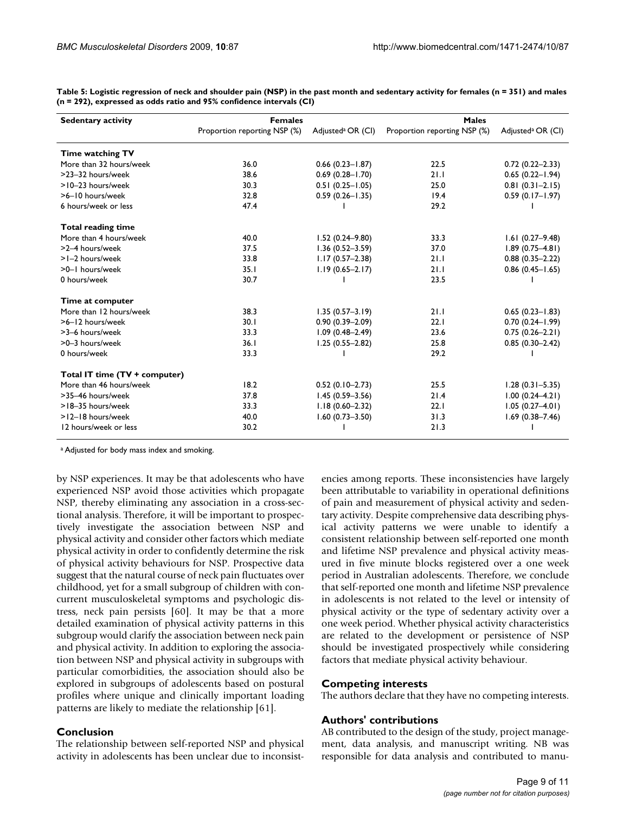| <b>Sedentary activity</b>     | <b>Females</b>               |                               | <b>Males</b>                 |                               |
|-------------------------------|------------------------------|-------------------------------|------------------------------|-------------------------------|
|                               | Proportion reporting NSP (%) | Adjusted <sup>a</sup> OR (Cl) | Proportion reporting NSP (%) | Adjusted <sup>a</sup> OR (Cl) |
| Time watching TV              |                              |                               |                              |                               |
| More than 32 hours/week       | 36.0                         | $0.66(0.23 - 1.87)$           | 22.5                         | $0.72(0.22 - 2.33)$           |
| >23-32 hours/week             | 38.6                         | $0.69(0.28 - 1.70)$           | 21.1                         | $0.65(0.22 - 1.94)$           |
| >10-23 hours/week             | 30.3                         | $0.51(0.25 - 1.05)$           | 25.0                         | $0.81(0.31 - 2.15)$           |
| >6-10 hours/week              | 32.8                         | $0.59(0.26 - 1.35)$           | 19.4                         | $0.59(0.17 - 1.97)$           |
| 6 hours/week or less          | 47.4                         |                               | 29.2                         |                               |
| <b>Total reading time</b>     |                              |                               |                              |                               |
| More than 4 hours/week        | 40.0                         | $1.52(0.24 - 9.80)$           | 33.3                         | $1.61(0.27 - 9.48)$           |
| >2-4 hours/week               | 37.5                         | $1.36(0.52 - 3.59)$           | 37.0                         | $1.89(0.75 - 4.81)$           |
| >1-2 hours/week               | 33.8                         | $1.17(0.57 - 2.38)$           | 21.1                         | $0.88(0.35 - 2.22)$           |
| >0-1 hours/week               | 35.1                         | $1.19(0.65 - 2.17)$           | 21.1                         | $0.86$ (0.45-1.65)            |
| 0 hours/week                  | 30.7                         |                               | 23.5                         |                               |
| Time at computer              |                              |                               |                              |                               |
| More than 12 hours/week       | 38.3                         | $1.35(0.57 - 3.19)$           | 21.1                         | $0.65(0.23 - 1.83)$           |
| >6-12 hours/week              | 30.1                         | $0.90(0.39 - 2.09)$           | 22.1                         | $0.70(0.24 - 1.99)$           |
| >3-6 hours/week               | 33.3                         | $1.09(0.48 - 2.49)$           | 23.6                         | $0.75(0.26 - 2.21)$           |
| >0-3 hours/week               | 36.1                         | $1.25(0.55 - 2.82)$           | 25.8                         | $0.85(0.30-2.42)$             |
| 0 hours/week                  | 33.3                         |                               | 29.2                         |                               |
| Total IT time (TV + computer) |                              |                               |                              |                               |
| More than 46 hours/week       | 18.2                         | $0.52(0.10-2.73)$             | 25.5                         | $1.28(0.31 - 5.35)$           |
| >35-46 hours/week             | 37.8                         | $1.45(0.59 - 3.56)$           | 21.4                         | $1.00(0.24 - 4.21)$           |
| >18-35 hours/week             | 33.3                         | $1.18(0.60 - 2.32)$           | 22.1                         | $1.05(0.27 - 4.01)$           |
| >12-18 hours/week             | 40.0                         | $1.60(0.73 - 3.50)$           | 31.3                         | $1.69(0.38 - 7.46)$           |
| 12 hours/week or less         | 30.2                         |                               | 21.3                         |                               |

**Table 5: Logistic regression of neck and shoulder pain (NSP) in the past month and sedentary activity for females (n = 351) and males (n = 292), expressed as odds ratio and 95% confidence intervals (CI)**

a Adjusted for body mass index and smoking.

by NSP experiences. It may be that adolescents who have experienced NSP avoid those activities which propagate NSP, thereby eliminating any association in a cross-sectional analysis. Therefore, it will be important to prospectively investigate the association between NSP and physical activity and consider other factors which mediate physical activity in order to confidently determine the risk of physical activity behaviours for NSP. Prospective data suggest that the natural course of neck pain fluctuates over childhood, yet for a small subgroup of children with concurrent musculoskeletal symptoms and psychologic distress, neck pain persists [60]. It may be that a more detailed examination of physical activity patterns in this subgroup would clarify the association between neck pain and physical activity. In addition to exploring the association between NSP and physical activity in subgroups with particular comorbidities, the association should also be explored in subgroups of adolescents based on postural profiles where unique and clinically important loading patterns are likely to mediate the relationship [61].

#### **Conclusion**

The relationship between self-reported NSP and physical activity in adolescents has been unclear due to inconsistencies among reports. These inconsistencies have largely been attributable to variability in operational definitions of pain and measurement of physical activity and sedentary activity. Despite comprehensive data describing physical activity patterns we were unable to identify a consistent relationship between self-reported one month and lifetime NSP prevalence and physical activity measured in five minute blocks registered over a one week period in Australian adolescents. Therefore, we conclude that self-reported one month and lifetime NSP prevalence in adolescents is not related to the level or intensity of physical activity or the type of sedentary activity over a one week period. Whether physical activity characteristics are related to the development or persistence of NSP should be investigated prospectively while considering factors that mediate physical activity behaviour.

#### **Competing interests**

The authors declare that they have no competing interests.

#### **Authors' contributions**

AB contributed to the design of the study, project management, data analysis, and manuscript writing. NB was responsible for data analysis and contributed to manu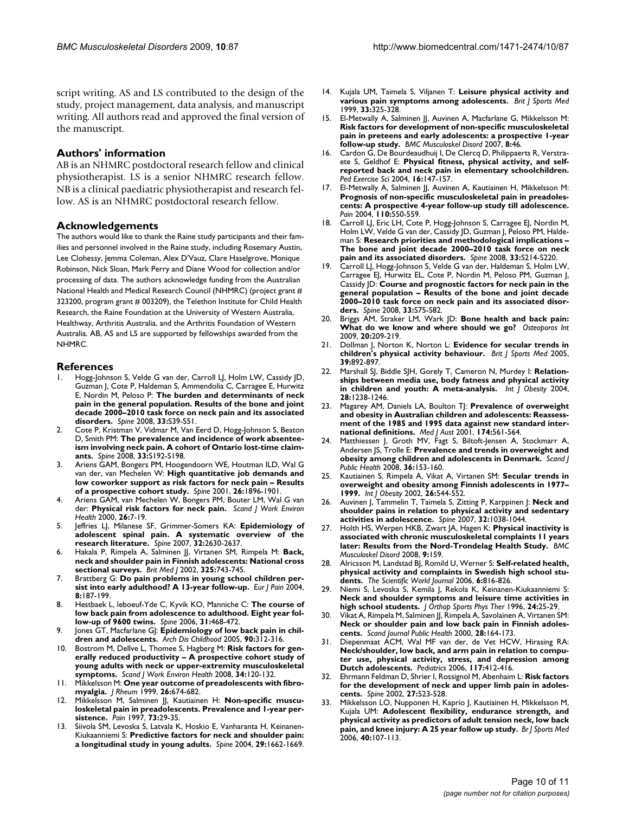script writing. AS and LS contributed to the design of the study, project management, data analysis, and manuscript writing. All authors read and approved the final version of the manuscript.

#### **Authors' information**

AB is an NHMRC postdoctoral research fellow and clinical physiotherapist. LS is a senior NHMRC research fellow. NB is a clinical paediatric physiotherapist and research fellow. AS is an NHMRC postdoctoral research fellow.

#### **Acknowledgements**

The authors would like to thank the Raine study participants and their families and personnel involved in the Raine study, including Rosemary Austin, Lee Clohessy, Jemma Coleman, Alex D'Vauz, Clare Haselgrove, Monique Robinson, Nick Sloan, Mark Perry and Diane Wood for collection and/or processing of data. The authors acknowledge funding from the Australian National Health and Medical Research Council (NHMRC) (project grant # 323200, program grant # 003209), the Telethon Institute for Child Health Research, the Raine Foundation at the University of Western Australia, Healthway, Arthritis Australia, and the Arthritis Foundation of Western Australia. AB, AS and LS are supported by fellowships awarded from the NHMRC.

#### **References**

- Hogg-Johnson S, Velde G van der, Carroll LJ, Holm LW, Cassidy JD, Guzman J, Cote P, Haldeman S, Ammendolia C, Carragee E, Hurwitz E, Nordin M, Peloso P: **[The burden and determinants of neck](http://www.ncbi.nlm.nih.gov/entrez/query.fcgi?cmd=Retrieve&db=PubMed&dopt=Abstract&list_uids=18204398) [pain in the general population. Results of the bone and joint](http://www.ncbi.nlm.nih.gov/entrez/query.fcgi?cmd=Retrieve&db=PubMed&dopt=Abstract&list_uids=18204398) decade 2000–2010 task force on neck pain and its associated [disorders.](http://www.ncbi.nlm.nih.gov/entrez/query.fcgi?cmd=Retrieve&db=PubMed&dopt=Abstract&list_uids=18204398)** *Spine* 2008, **33:**S39-S51.
- 2. Cote P, Kristman V, Vidmar M, Van Eerd D, Hogg-Johnson S, Beaton D, Smith PM: **[The prevalence and incidence of work absentee](http://www.ncbi.nlm.nih.gov/entrez/query.fcgi?cmd=Retrieve&db=PubMed&dopt=Abstract&list_uids=18204392)[ism involving neck pain. A cohort of Ontario lost-time claim](http://www.ncbi.nlm.nih.gov/entrez/query.fcgi?cmd=Retrieve&db=PubMed&dopt=Abstract&list_uids=18204392)[ants.](http://www.ncbi.nlm.nih.gov/entrez/query.fcgi?cmd=Retrieve&db=PubMed&dopt=Abstract&list_uids=18204392)** *Spine* 2008, **33:**S192-S198.
- 3. Ariens GAM, Bongers PM, Hoogendoorn WE, Houtman ILD, Wal G van der, van Mechelen W: **[High quantitative job demands and](http://www.ncbi.nlm.nih.gov/entrez/query.fcgi?cmd=Retrieve&db=PubMed&dopt=Abstract&list_uids=11568702) [low coworker support as risk factors for neck pain – Results](http://www.ncbi.nlm.nih.gov/entrez/query.fcgi?cmd=Retrieve&db=PubMed&dopt=Abstract&list_uids=11568702) [of a prospective cohort study.](http://www.ncbi.nlm.nih.gov/entrez/query.fcgi?cmd=Retrieve&db=PubMed&dopt=Abstract&list_uids=11568702)** *Spine* 2001, **26:**1896-1901.
- 4. Ariens GAM, van Mechelen W, Bongers PM, Bouter LM, Wal G van der: **[Physical risk factors for neck pain.](http://www.ncbi.nlm.nih.gov/entrez/query.fcgi?cmd=Retrieve&db=PubMed&dopt=Abstract&list_uids=10744172)** *Scand J Work Environ Health* 2000, **26:**7-19.
- 5. Jeffries LJ, Milanese SF, Grimmer-Somers KA: **[Epidemiology of](http://www.ncbi.nlm.nih.gov/entrez/query.fcgi?cmd=Retrieve&db=PubMed&dopt=Abstract&list_uids=17978666) [adolescent spinal pain. A systematic overview of the](http://www.ncbi.nlm.nih.gov/entrez/query.fcgi?cmd=Retrieve&db=PubMed&dopt=Abstract&list_uids=17978666) [research literature.](http://www.ncbi.nlm.nih.gov/entrez/query.fcgi?cmd=Retrieve&db=PubMed&dopt=Abstract&list_uids=17978666)** *Spine* 2007, **32:**2630-2637.
- 6. Hakala P, Rimpela A, Salminen JJ, Virtanen SM, Rimpela M: **[Back,](http://www.ncbi.nlm.nih.gov/entrez/query.fcgi?cmd=Retrieve&db=PubMed&dopt=Abstract&list_uids=12364301) [neck and shoulder pain in Finnish adolescents: National cross](http://www.ncbi.nlm.nih.gov/entrez/query.fcgi?cmd=Retrieve&db=PubMed&dopt=Abstract&list_uids=12364301) [sectional surveys.](http://www.ncbi.nlm.nih.gov/entrez/query.fcgi?cmd=Retrieve&db=PubMed&dopt=Abstract&list_uids=12364301)** *Brit Med J* 2002, **325:**743-745.
- Brattberg G: [Do pain problems in young school children per](http://www.ncbi.nlm.nih.gov/entrez/query.fcgi?cmd=Retrieve&db=PubMed&dopt=Abstract&list_uids=15109969)**[sist into early adulthood? A 13-year follow-up.](http://www.ncbi.nlm.nih.gov/entrez/query.fcgi?cmd=Retrieve&db=PubMed&dopt=Abstract&list_uids=15109969)** *Eur J Pain* 2004, **8:**187-199.
- 8. Hestbaek L, leboeuf-Yde C, Kyvik KO, Manniche C: **[The course of](http://www.ncbi.nlm.nih.gov/entrez/query.fcgi?cmd=Retrieve&db=PubMed&dopt=Abstract&list_uids=16481960) [low back pain from adolescence to adulthood. Eight year fol](http://www.ncbi.nlm.nih.gov/entrez/query.fcgi?cmd=Retrieve&db=PubMed&dopt=Abstract&list_uids=16481960)[low-up of 9600 twins.](http://www.ncbi.nlm.nih.gov/entrez/query.fcgi?cmd=Retrieve&db=PubMed&dopt=Abstract&list_uids=16481960)** *Spine* 2006, **31:**468-472.
- Jones GT, Macfarlane GJ: Epidemiology of low back pain in chil**dren and adolescents.** *Arch Dis Childhood* 2005, **90:**312-316.
- 10. Bostrom M, Dellve L, Thomee S, Hagberg M: **[Risk factors for gen](http://www.ncbi.nlm.nih.gov/entrez/query.fcgi?cmd=Retrieve&db=PubMed&dopt=Abstract&list_uids=18470438)[erally reduced productivity – A prospective cohort study of](http://www.ncbi.nlm.nih.gov/entrez/query.fcgi?cmd=Retrieve&db=PubMed&dopt=Abstract&list_uids=18470438) young adults with neck or upper-extremity musculoskeletal [symptoms.](http://www.ncbi.nlm.nih.gov/entrez/query.fcgi?cmd=Retrieve&db=PubMed&dopt=Abstract&list_uids=18470438)** *Scand J Work Environ Health* 2008, **34:**120-132.
- 11. Mikkelsson M: **[One year outcome of preadolescents with fibro](http://www.ncbi.nlm.nih.gov/entrez/query.fcgi?cmd=Retrieve&db=PubMed&dopt=Abstract&list_uids=10090181)[myalgia.](http://www.ncbi.nlm.nih.gov/entrez/query.fcgi?cmd=Retrieve&db=PubMed&dopt=Abstract&list_uids=10090181)** *J Rheum* 1999, **26:**674-682.
- 12. Mikkelsson M, Salminen JJ, Kautiainen H: **[Non-specific muscu](http://www.ncbi.nlm.nih.gov/entrez/query.fcgi?cmd=Retrieve&db=PubMed&dopt=Abstract&list_uids=9414054)[loskeletal pain in preadolescents. Prevalence and 1-year per](http://www.ncbi.nlm.nih.gov/entrez/query.fcgi?cmd=Retrieve&db=PubMed&dopt=Abstract&list_uids=9414054)[sistence.](http://www.ncbi.nlm.nih.gov/entrez/query.fcgi?cmd=Retrieve&db=PubMed&dopt=Abstract&list_uids=9414054)** *Pain* 1997, **73:**29-35.
- 13. Siivola SM, Levoska S, Latvala K, Hoskio E, Vanharanta H, Keinanen-Kiukaanniemi S: **[Predictive factors for neck and shoulder pain:](http://www.ncbi.nlm.nih.gov/entrez/query.fcgi?cmd=Retrieve&db=PubMed&dopt=Abstract&list_uids=15284513) [a longitudinal study in young adults.](http://www.ncbi.nlm.nih.gov/entrez/query.fcgi?cmd=Retrieve&db=PubMed&dopt=Abstract&list_uids=15284513)** *Spine* 2004, **29:**1662-1669.
- 14. Kujala UM, Taimela S, Viljanen T: **Leisure physical activity and various pain symptoms among adolescents.** *Brit J Sports Med* 1999, **33:**325-328.
- 15. El-Metwally A, Salminen JJ, Auvinen A, Macfarlane G, Mikkelsson M: **Risk factors for development of non-specific musculoskeletal pain in preteens and early adolescents: a prospective 1-year follow-up study.** *BMC Musculoskel Disord* 2007, **8:**46.
- 16. Cardon G, De Bourdeaudhuij I, De Clercq D, Philippaerts R, Verstraete S, Geldhof E: **Physical fitness, physical activity, and selfreported back and neck pain in elementary schoolchildren.** *Ped Exercise Sci* 2004, **16:**147-157.
- 17. El-Metwally A, Salminen JJ, Auvinen A, Kautiainen H, Mikkelsson M: **[Prognosis of non-specific musculoskeletal pain in preadoles](http://www.ncbi.nlm.nih.gov/entrez/query.fcgi?cmd=Retrieve&db=PubMed&dopt=Abstract&list_uids=15288395)cents: A prospective 4-year follow-up study till adolescence.** *Pain* 2004, **110:**550-559.
- Carroll LJ, Eric LH, Cote P, Hogg-Johnson S, Carragee EJ, Nordin M, Holm LW, Velde G van der, Cassidy JD, Guzman J, Peloso PM, Haldeman S: **[Research priorities and methodological implications –](http://www.ncbi.nlm.nih.gov/entrez/query.fcgi?cmd=Retrieve&db=PubMed&dopt=Abstract&list_uids=18204394) [The bone and joint decade 2000–2010 task force on neck](http://www.ncbi.nlm.nih.gov/entrez/query.fcgi?cmd=Retrieve&db=PubMed&dopt=Abstract&list_uids=18204394) [pain and its associated disorders.](http://www.ncbi.nlm.nih.gov/entrez/query.fcgi?cmd=Retrieve&db=PubMed&dopt=Abstract&list_uids=18204394)** *Spine* 2008, **33:**S214-S220.
- 19. Carroll LJ, Hogg-Johnson S, Velde G van der, Haldeman S, Holm LW, Carragee EJ, Hurwitz EL, Cote P, Nordin M, Peloso PM, Guzman J, Cassidy JD: **[Course and prognostic factors for neck pain in the](http://www.ncbi.nlm.nih.gov/entrez/query.fcgi?cmd=Retrieve&db=PubMed&dopt=Abstract&list_uids=18204403) [general population – Results of the bone and joint decade](http://www.ncbi.nlm.nih.gov/entrez/query.fcgi?cmd=Retrieve&db=PubMed&dopt=Abstract&list_uids=18204403) 2000–2010 task force on neck pain and its associated disor[ders.](http://www.ncbi.nlm.nih.gov/entrez/query.fcgi?cmd=Retrieve&db=PubMed&dopt=Abstract&list_uids=18204403)** *Spine* 2008, **33:**S75-S82.
- 20. Briggs AM, Straker LM, Wark JD: **[Bone health and back pain:](http://www.ncbi.nlm.nih.gov/entrez/query.fcgi?cmd=Retrieve&db=PubMed&dopt=Abstract&list_uids=18716821) [What do we know and where should we go?](http://www.ncbi.nlm.nih.gov/entrez/query.fcgi?cmd=Retrieve&db=PubMed&dopt=Abstract&list_uids=18716821)** *Osteoporos Int* 2009, **20:**209-219.
- 21. Dollman J, Norton K, Norton L: **Evidence for secular trends in children's physical activity behaviour.** *Brit J Sports Med* 2005, **39:**892-897.
- 22. Marshall SJ, Biddle SJH, Gorely T, Cameron N, Murdey I: **Relationships between media use, body fatness and physical activity in children and youth: A meta-analysis.** *Int J Obesity* 2004, **28:**1238-1246.
- 23. Magarey AM, Daniels LA, Boulton TJ: **[Prevalence of overweight](http://www.ncbi.nlm.nih.gov/entrez/query.fcgi?cmd=Retrieve&db=PubMed&dopt=Abstract&list_uids=11453327) [and obesity in Australian children and adolescents: Reassess](http://www.ncbi.nlm.nih.gov/entrez/query.fcgi?cmd=Retrieve&db=PubMed&dopt=Abstract&list_uids=11453327)ment of the 1985 and 1995 data against new standard inter[national definitions.](http://www.ncbi.nlm.nih.gov/entrez/query.fcgi?cmd=Retrieve&db=PubMed&dopt=Abstract&list_uids=11453327)** *Med J Aust* 2001, **174:**561-564.
- 24. Matthiessen J, Groth MV, Fagt S, Biltoft-Jensen A, Stockmarr A, Andersen JS, Trolle E: **[Prevalence and trends in overweight and](http://www.ncbi.nlm.nih.gov/entrez/query.fcgi?cmd=Retrieve&db=PubMed&dopt=Abstract&list_uids=18519279) [obesity among children and adolescents in Denmark.](http://www.ncbi.nlm.nih.gov/entrez/query.fcgi?cmd=Retrieve&db=PubMed&dopt=Abstract&list_uids=18519279)** *Scand J Public Health* 2008, **36:**153-160.
- 25. Kautiainen S, Rimpela A, Vikat A, Virtanen SM: **Secular trends in overweight and obesity among Finnish adolescents in 1977– 1999.** *Int J Obesity* 2002, **26:**544-552.
- 26. Auvinen J, Tammelin T, Taimela S, Zitting P, Karppinen J: **[Neck and](http://www.ncbi.nlm.nih.gov/entrez/query.fcgi?cmd=Retrieve&db=PubMed&dopt=Abstract&list_uids=17450080) [shoulder pains in relation to physical activity and sedentary](http://www.ncbi.nlm.nih.gov/entrez/query.fcgi?cmd=Retrieve&db=PubMed&dopt=Abstract&list_uids=17450080) [activities in adolescence.](http://www.ncbi.nlm.nih.gov/entrez/query.fcgi?cmd=Retrieve&db=PubMed&dopt=Abstract&list_uids=17450080)** *Spine* 2007, **32:**1038-1044.
- 27. Holth HS, Werpen HKB, Zwart JA, Hagen K: **Physical inactivity is associated with chronic musculoskeletal complaints 11 years later: Results from the Nord-Trondelag Health Study.** *BMC Musculoskel Disord* 2008, **9:**159.
- 28. Alricsson M, Landstad BJ, Romild U, Werner S: **Self-related health, physical activity and complaints in Swedish high school students.** *The Scientific World Journal* 2006, **6:**816-826.
- Niemi S, Levoska S, Kemila J, Rekola K, Keinanen-Kiukaanniemi S: **[Neck and shoulder symptoms and leisure time activities in](http://www.ncbi.nlm.nih.gov/entrez/query.fcgi?cmd=Retrieve&db=PubMed&dopt=Abstract&list_uids=8807538) [high school students.](http://www.ncbi.nlm.nih.gov/entrez/query.fcgi?cmd=Retrieve&db=PubMed&dopt=Abstract&list_uids=8807538)** *J Orthop Sports Phys Ther* 1996, **24:**25-29.
- 30. Vikat A, Rimpela M, Salminen JJ, Rimpela A, Savolainen A, Virtanen SM: **Neck or shoulder pain and low back pain in Finnish adolescents.** *Scand Journal Public Health* 2000, **28:**164-173.
- 31. Diepenmaat ACM, Wal MF van der, de Vet HCW, Hirasing RA: **[Neck/shoulder, low back, and arm pain in relation to compu](http://www.ncbi.nlm.nih.gov/entrez/query.fcgi?cmd=Retrieve&db=PubMed&dopt=Abstract&list_uids=16452360)ter use, physical activity, stress, and depression among [Dutch adolescents.](http://www.ncbi.nlm.nih.gov/entrez/query.fcgi?cmd=Retrieve&db=PubMed&dopt=Abstract&list_uids=16452360)** *Pediatrics* 2006, **117:**412-416.
- 32. Ehrmann Feldman D, Shrier I, Rossignol M, Abenhaim L: **[Risk factors](http://www.ncbi.nlm.nih.gov/entrez/query.fcgi?cmd=Retrieve&db=PubMed&dopt=Abstract&list_uids=11880838) [for the development of neck and upper limb pain in adoles](http://www.ncbi.nlm.nih.gov/entrez/query.fcgi?cmd=Retrieve&db=PubMed&dopt=Abstract&list_uids=11880838)[cents.](http://www.ncbi.nlm.nih.gov/entrez/query.fcgi?cmd=Retrieve&db=PubMed&dopt=Abstract&list_uids=11880838)** *Spine* 2002, **27:**523-528.
- 33. Mikkelsson LO, Nupponen H, Kaprio J, Kautiainen H, Mikkelsson M, Kujala UM: **[Adolescent flexibility, endurance strength, and](http://www.ncbi.nlm.nih.gov/entrez/query.fcgi?cmd=Retrieve&db=PubMed&dopt=Abstract&list_uids=16431995) [physical activity as predictors of adult tension neck, low back](http://www.ncbi.nlm.nih.gov/entrez/query.fcgi?cmd=Retrieve&db=PubMed&dopt=Abstract&list_uids=16431995) [pain, and knee injury: A 25 year follow up study.](http://www.ncbi.nlm.nih.gov/entrez/query.fcgi?cmd=Retrieve&db=PubMed&dopt=Abstract&list_uids=16431995)** *Br J Sports Med* 2006, **40:**107-113.